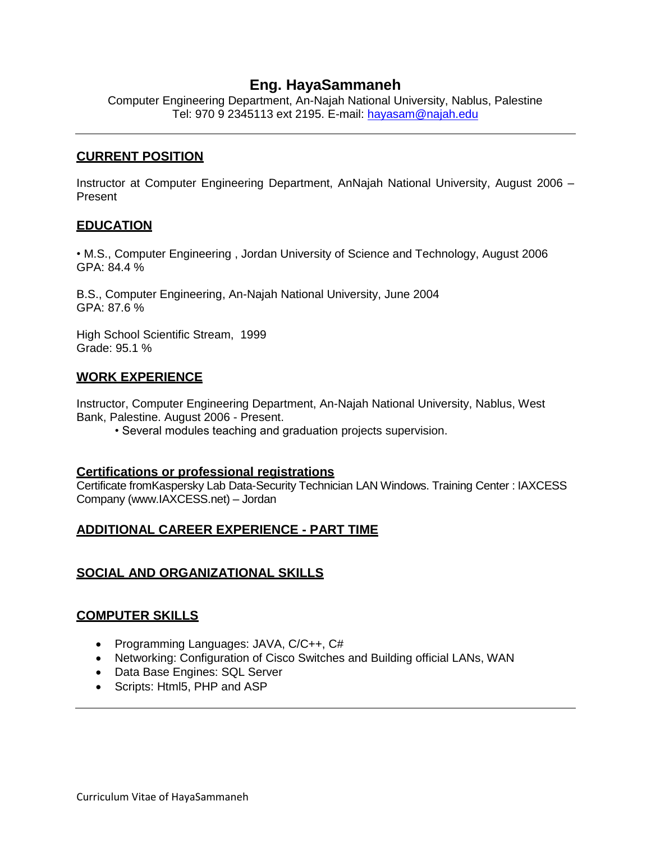# **Eng. HayaSammaneh**

Computer Engineering Department, An-Najah National University, Nablus, Palestine Tel: 970 9 2345113 ext 2195. E-mail: [hayasam@najah.edu](mailto:hayasam@najah.edu)

### **CURRENT POSITION**

Instructor at Computer Engineering Department, AnNajah National University, August 2006 – Present

### **EDUCATION**

• M.S., Computer Engineering , Jordan University of Science and Technology, August 2006 GPA: 84.4 %

B.S., Computer Engineering, An-Najah National University, June 2004 GPA: 87.6 %

High School Scientific Stream, 1999 Grade: 95.1 %

### **WORK EXPERIENCE**

Instructor, Computer Engineering Department, An-Najah National University, Nablus, West Bank, Palestine. August 2006 - Present.

• Several modules teaching and graduation projects supervision.

#### **Certifications or professional registrations**

Certificate fromKaspersky Lab Data-Security Technician LAN Windows. Training Center : IAXCESS Company (www.IAXCESS.net) – Jordan

## **ADDITIONAL CAREER EXPERIENCE - PART TIME**

## **SOCIAL AND ORGANIZATIONAL SKILLS**

#### **COMPUTER SKILLS**

- Programming Languages: JAVA, C/C++, C#
- Networking: Configuration of Cisco Switches and Building official LANs, WAN
- Data Base Engines: SQL Server
- Scripts: Html5, PHP and ASP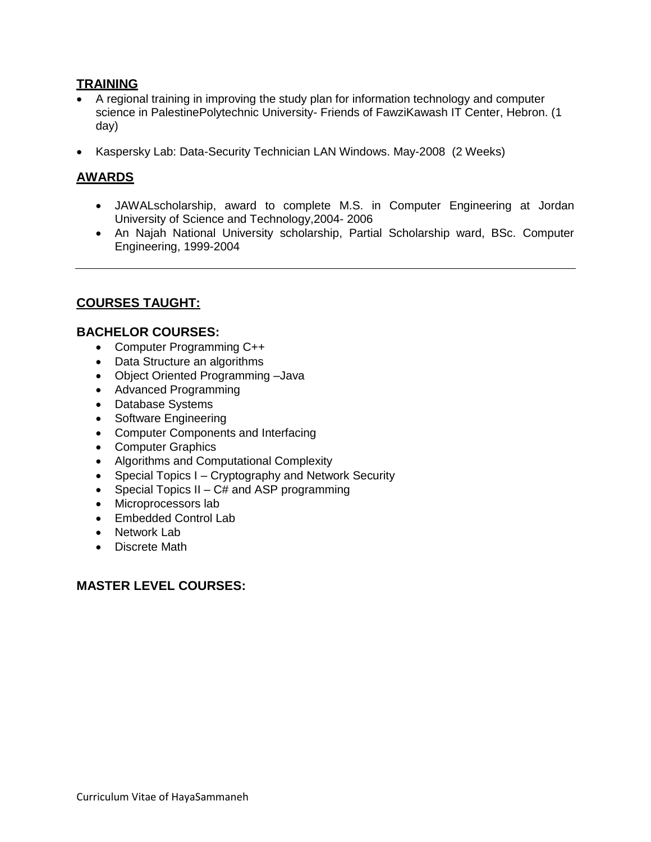## **TRAINING**

- A regional training in improving the study plan for information technology and computer science in [PalestinePolytechnic University-](http://www.google.com/url?q=http://www.ppu.edu/&ei=U567Sc65E8uMsAb2qM3oDg&sa=X&oi=spellmeleon_result&resnum=1&ct=result&cd=1&usg=AFQjCNEDo54rnm-1VaNxiK6lirfMPV2rsw) Friends of FawziKawash IT Center, Hebron. (1 day)
- Kaspersky Lab: Data-Security Technician LAN Windows. May-2008 (2 Weeks)

# **AWARDS**

- JAWALscholarship, award to complete M.S. in Computer Engineering at Jordan University of Science and Technology,2004- 2006
- An Najah National University scholarship, Partial Scholarship ward, BSc. Computer Engineering, 1999-2004

# **COURSES TAUGHT:**

#### **BACHELOR COURSES:**

- Computer Programming C++
- Data Structure an algorithms
- Object Oriented Programming –Java
- Advanced Programming
- Database Systems
- Software Engineering
- Computer Components and Interfacing
- Computer Graphics
- Algorithms and Computational Complexity
- Special Topics I Cryptography and Network Security
- Special Topics  $II C#$  and ASP programming
- Microprocessors lab
- Embedded Control Lab
- Network Lab
- Discrete Math

## **MASTER LEVEL COURSES:**